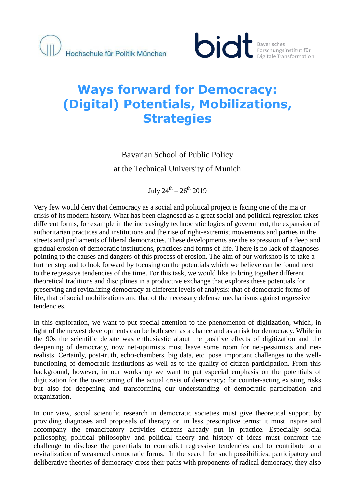

# **Ways forward for Democracy: (Digital) Potentials, Mobilizations, Strategies**

# Bavarian School of Public Policy at the Technical University of Munich

July  $24^{\text{th}} - 26^{\text{th}}$  2019

Very few would deny that democracy as a social and political project is facing one of the major crisis of its modern history. What has been diagnosed as a great social and political regression takes different forms, for example in the increasingly technocratic logics of government, the expansion of authoritarian practices and institutions and the rise of right-extremist movements and parties in the streets and parliaments of liberal democracies. These developments are the expression of a deep and gradual erosion of democratic institutions, practices and forms of life. There is no lack of diagnoses pointing to the causes and dangers of this process of erosion. The aim of our workshop is to take a further step and to look forward by focusing on the potentials which we believe can be found next to the regressive tendencies of the time. For this task, we would like to bring together different theoretical traditions and disciplines in a productive exchange that explores these potentials for preserving and revitalizing democracy at different levels of analysis: that of democratic forms of life, that of social mobilizations and that of the necessary defense mechanisms against regressive tendencies.

In this exploration, we want to put special attention to the phenomenon of digitization, which, in light of the newest developments can be both seen as a chance and as a risk for democracy. While in the 90s the scientific debate was enthusiastic about the positive effects of digitization and the deepening of democracy, now net-optimists must leave some room for net-pessimists and netrealists. Certainly, post-truth, echo-chambers, big data, etc. pose important challenges to the wellfunctioning of democratic institutions as well as to the quality of citizen participation. From this background, however, in our workshop we want to put especial emphasis on the potentials of digitization for the overcoming of the actual crisis of democracy: for counter-acting existing risks but also for deepening and transforming our understanding of democratic participation and organization.

In our view, social scientific research in democratic societies must give theoretical support by providing diagnoses and proposals of therapy or, in less prescriptive terms: it must inspire and accompany the emancipatory activities citizens already put in practice. Especially social philosophy, political philosophy and political theory and history of ideas must confront the challenge to disclose the potentials to contradict regressive tendencies and to contribute to a revitalization of weakened democratic forms. In the search for such possibilities, participatory and deliberative theories of democracy cross their paths with proponents of radical democracy, they also